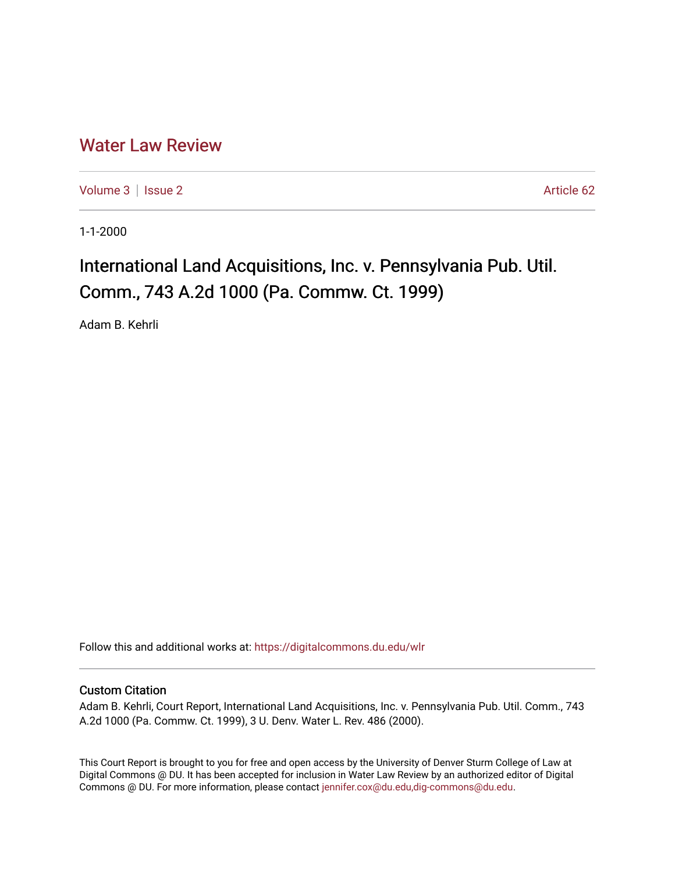## [Water Law Review](https://digitalcommons.du.edu/wlr)

[Volume 3](https://digitalcommons.du.edu/wlr/vol3) | [Issue 2](https://digitalcommons.du.edu/wlr/vol3/iss2) Article 62

1-1-2000

# International Land Acquisitions, Inc. v. Pennsylvania Pub. Util. Comm., 743 A.2d 1000 (Pa. Commw. Ct. 1999)

Adam B. Kehrli

Follow this and additional works at: [https://digitalcommons.du.edu/wlr](https://digitalcommons.du.edu/wlr?utm_source=digitalcommons.du.edu%2Fwlr%2Fvol3%2Fiss2%2F62&utm_medium=PDF&utm_campaign=PDFCoverPages) 

#### Custom Citation

Adam B. Kehrli, Court Report, International Land Acquisitions, Inc. v. Pennsylvania Pub. Util. Comm., 743 A.2d 1000 (Pa. Commw. Ct. 1999), 3 U. Denv. Water L. Rev. 486 (2000).

This Court Report is brought to you for free and open access by the University of Denver Sturm College of Law at Digital Commons @ DU. It has been accepted for inclusion in Water Law Review by an authorized editor of Digital Commons @ DU. For more information, please contact [jennifer.cox@du.edu,dig-commons@du.edu.](mailto:jennifer.cox@du.edu,dig-commons@du.edu)